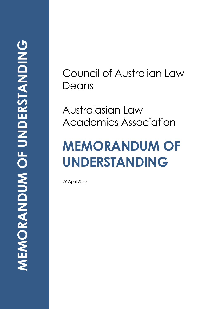Council of Australian Law Deans

Australasian Law Academics Association

# **MEMORANDUM OF UNDERSTANDING**

29 April 2020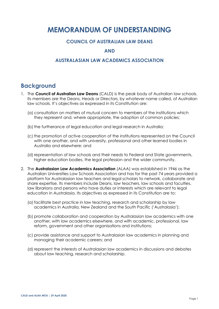# **MEMORANDUM OF UNDERSTANDING**

#### **COUNCIL OF AUSTRALIAN LAW DEANS**

#### **AND**

#### **AUSTRALASIAN LAW ACADEMICS ASSOCIATION**

## **Background**

- 1. The **Council of Australian Law Deans** (CALD) is the peak body of Australian law schools. Its members are the Deans, Heads or Directors, by whatever name called, of Australian law schools. It's objectives as expressed in its Constitution are:
	- (a) consultation on matters of mutual concern to members of the institutions which they represent and, where appropriate, the adoption of common policies;
	- (b) the furtherance of legal education and legal research in Australia;
	- (c) the promotion of active cooperation of the institutions represented on the Council with one another, and with university, professional and other learned bodies in Australia and elsewhere; and
	- (d) representation of law schools and their needs to Federal and State governments, higher education bodies, the legal profession and the wider community.
- 2. The **Australasian Law Academics Association** (ALAA) was established in 1946 as the Australian Universities Law Schools Association and has for the past 74 years provided a platform for Australasian law teachers and legal scholars to network, collaborate and share expertise. Its members include Deans, law teachers, law schools and faculties, law librarians and persons who have duties or interests which are relevant to legal education in Australasia. Its objectives as expressed in its Constitution are to:
	- (a) facilitate best practice in law teaching, research and scholarship by law academics in Australia, New Zealand and the South Pacific ('Australasia');
	- (b) promote collaboration and cooperation by Australasian law academics with one another, with law academics elsewhere, and with academic, professional, law reform, government and other organisations and institutions;
	- (c) provide assistance and support to Australasian law academics in planning and managing their academic careers; and
	- (d) represent the interests of Australasian law academics in discussions and debates about law teaching, research and scholarship.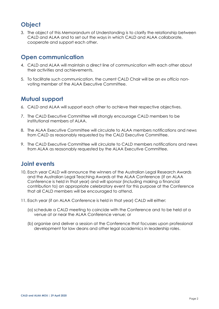## **Object**

3. The object of this Memorandum of Understanding is to clarify the relationship between CALD and ALAA and to set out the ways in which CALD and ALAA collaborate, cooperate and support each other.

### **Open communication**

- 4. CALD and ALAA will maintain a direct line of communication with each other about their activities and achievements.
- 5. To facilitate such communication, the current CALD Chair will be an *ex officio* nonvoting member of the ALAA Executive Committee.

## **Mutual support**

- 6. CALD and ALAA will support each other to achieve their respective objectives.
- 7. The CALD Executive Committee will strongly encourage CALD members to be institutional members of ALAA.
- 8. The ALAA Executive Committee will circulate to ALAA members notifications and news from CALD as reasonably requested by the CALD Executive Committee.
- 9. The CALD Executive Committee will circulate to CALD members notifications and news from ALAA as reasonably requested by the ALAA Executive Committee.

## **Joint events**

- 10. Each year CALD will announce the winners of the Australian Legal Research Awards and the Australian Legal Teaching Awards at the ALAA Conference (if an ALAA Conference is held in that year) and will sponsor (including making a financial contribution to) an appropriate celebratory event for this purpose at the Conference that all CALD members will be encouraged to attend.
- 11. Each year (if an ALAA Conference is held in that year) CALD will either:
	- (a) schedule a CALD meeting to coincide with the Conference and to be held at a venue at or near the ALAA Conference venue; or
	- (b) organise and deliver a session at the Conference that focusses upon professional development for law deans and other legal academics in leadership roles.